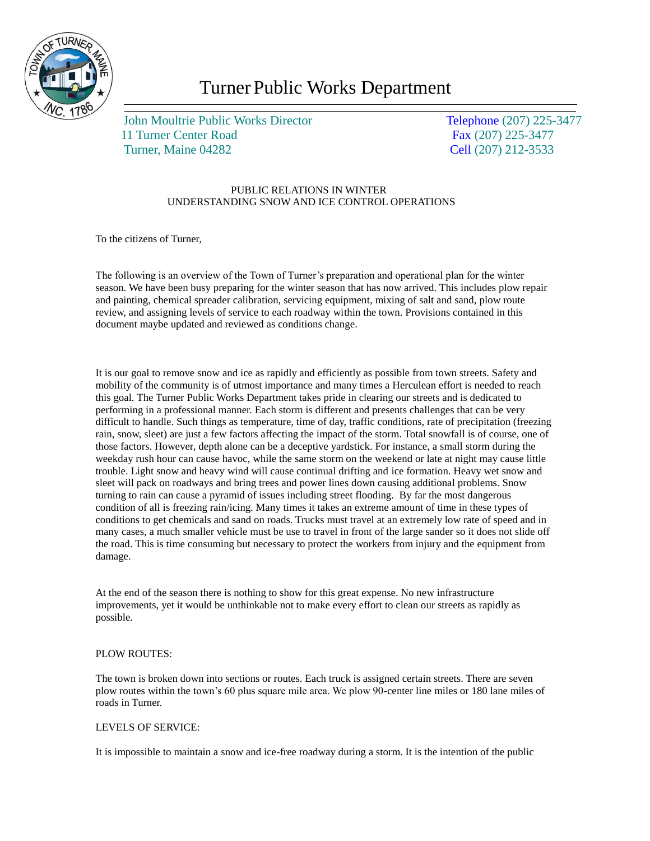

# Turner Public Works Department

John Moultrie Public Works Director Telephone (207) 225-3477 11 Turner Center Road Fax (207) 225-3477 Turner, Maine 04282 Cell (207) 212-3533

## PUBLIC RELATIONS IN WINTER UNDERSTANDING SNOW AND ICE CONTROL OPERATIONS

To the citizens of Turner,

The following is an overview of the Town of Turner's preparation and operational plan for the winter season. We have been busy preparing for the winter season that has now arrived. This includes plow repair and painting, chemical spreader calibration, servicing equipment, mixing of salt and sand, plow route review, and assigning levels of service to each roadway within the town. Provisions contained in this document maybe updated and reviewed as conditions change.

It is our goal to remove snow and ice as rapidly and efficiently as possible from town streets. Safety and mobility of the community is of utmost importance and many times a Herculean effort is needed to reach this goal. The Turner Public Works Department takes pride in clearing our streets and is dedicated to performing in a professional manner. Each storm is different and presents challenges that can be very difficult to handle. Such things as temperature, time of day, traffic conditions, rate of precipitation (freezing rain, snow, sleet) are just a few factors affecting the impact of the storm. Total snowfall is of course, one of those factors. However, depth alone can be a deceptive yardstick. For instance, a small storm during the weekday rush hour can cause havoc, while the same storm on the weekend or late at night may cause little trouble. Light snow and heavy wind will cause continual drifting and ice formation. Heavy wet snow and sleet will pack on roadways and bring trees and power lines down causing additional problems. Snow turning to rain can cause a pyramid of issues including street flooding. By far the most dangerous condition of all is freezing rain/icing. Many times it takes an extreme amount of time in these types of conditions to get chemicals and sand on roads. Trucks must travel at an extremely low rate of speed and in many cases, a much smaller vehicle must be use to travel in front of the large sander so it does not slide off the road. This is time consuming but necessary to protect the workers from injury and the equipment from damage.

At the end of the season there is nothing to show for this great expense. No new infrastructure improvements, yet it would be unthinkable not to make every effort to clean our streets as rapidly as possible.

## PLOW ROUTES:

The town is broken down into sections or routes. Each truck is assigned certain streets. There are seven plow routes within the town's 60 plus square mile area. We plow 90-center line miles or 180 lane miles of roads in Turner.

#### LEVELS OF SERVICE:

It is impossible to maintain a snow and ice-free roadway during a storm. It is the intention of the public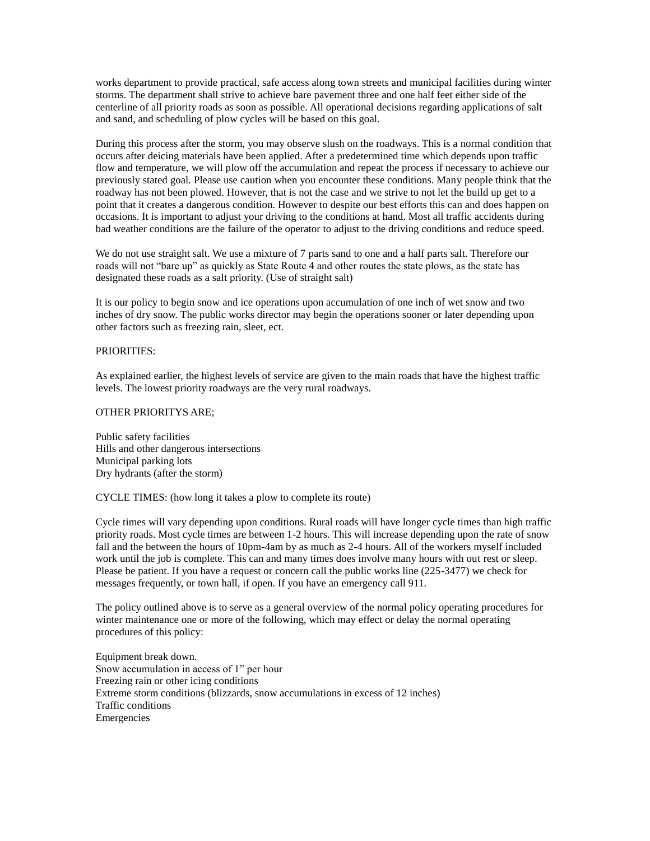works department to provide practical, safe access along town streets and municipal facilities during winter storms. The department shall strive to achieve bare pavement three and one half feet either side of the centerline of all priority roads as soon as possible. All operational decisions regarding applications of salt and sand, and scheduling of plow cycles will be based on this goal.

During this process after the storm, you may observe slush on the roadways. This is a normal condition that occurs after deicing materials have been applied. After a predetermined time which depends upon traffic flow and temperature, we will plow off the accumulation and repeat the process if necessary to achieve our previously stated goal. Please use caution when you encounter these conditions. Many people think that the roadway has not been plowed. However, that is not the case and we strive to not let the build up get to a point that it creates a dangerous condition. However to despite our best efforts this can and does happen on occasions. It is important to adjust your driving to the conditions at hand. Most all traffic accidents during bad weather conditions are the failure of the operator to adjust to the driving conditions and reduce speed.

We do not use straight salt. We use a mixture of 7 parts sand to one and a half parts salt. Therefore our roads will not "bare up" as quickly as State Route 4 and other routes the state plows, as the state has designated these roads as a salt priority. (Use of straight salt)

It is our policy to begin snow and ice operations upon accumulation of one inch of wet snow and two inches of dry snow. The public works director may begin the operations sooner or later depending upon other factors such as freezing rain, sleet, ect.

### PRIORITIES:

As explained earlier, the highest levels of service are given to the main roads that have the highest traffic levels. The lowest priority roadways are the very rural roadways.

#### OTHER PRIORITYS ARE;

Public safety facilities Hills and other dangerous intersections Municipal parking lots Dry hydrants (after the storm)

CYCLE TIMES: (how long it takes a plow to complete its route)

Cycle times will vary depending upon conditions. Rural roads will have longer cycle times than high traffic priority roads. Most cycle times are between 1-2 hours. This will increase depending upon the rate of snow fall and the between the hours of 10pm-4am by as much as 2-4 hours. All of the workers myself included work until the job is complete. This can and many times does involve many hours with out rest or sleep. Please be patient. If you have a request or concern call the public works line (225-3477) we check for messages frequently, or town hall, if open. If you have an emergency call 911.

The policy outlined above is to serve as a general overview of the normal policy operating procedures for winter maintenance one or more of the following, which may effect or delay the normal operating procedures of this policy:

Equipment break down. Snow accumulation in access of 1" per hour Freezing rain or other icing conditions Extreme storm conditions (blizzards, snow accumulations in excess of 12 inches) Traffic conditions Emergencies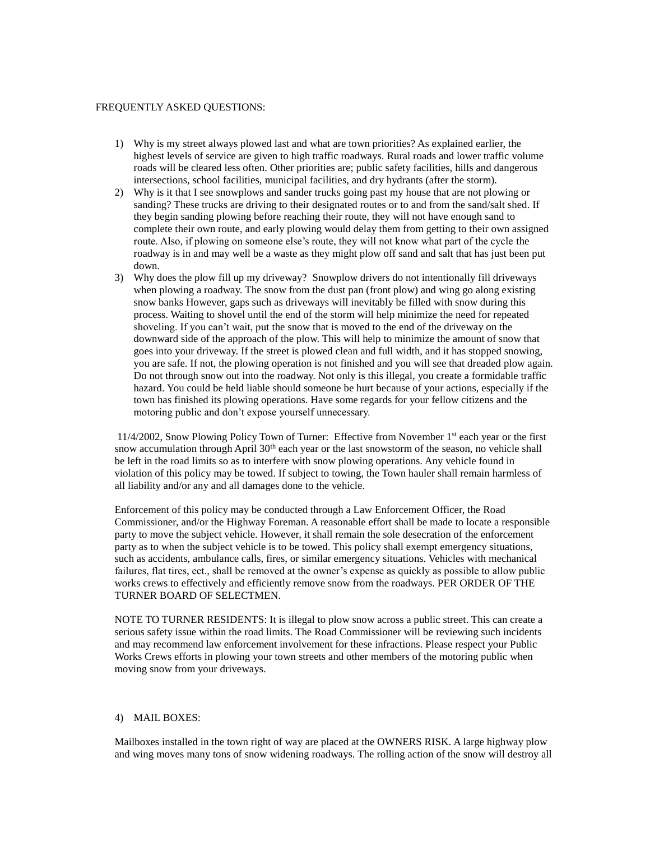#### FREQUENTLY ASKED QUESTIONS:

- 1) Why is my street always plowed last and what are town priorities? As explained earlier, the highest levels of service are given to high traffic roadways. Rural roads and lower traffic volume roads will be cleared less often. Other priorities are; public safety facilities, hills and dangerous intersections, school facilities, municipal facilities, and dry hydrants (after the storm).
- 2) Why is it that I see snowplows and sander trucks going past my house that are not plowing or sanding? These trucks are driving to their designated routes or to and from the sand/salt shed. If they begin sanding plowing before reaching their route, they will not have enough sand to complete their own route, and early plowing would delay them from getting to their own assigned route. Also, if plowing on someone else's route, they will not know what part of the cycle the roadway is in and may well be a waste as they might plow off sand and salt that has just been put down.
- 3) Why does the plow fill up my driveway? Snowplow drivers do not intentionally fill driveways when plowing a roadway. The snow from the dust pan (front plow) and wing go along existing snow banks However, gaps such as driveways will inevitably be filled with snow during this process. Waiting to shovel until the end of the storm will help minimize the need for repeated shoveling. If you can't wait, put the snow that is moved to the end of the driveway on the downward side of the approach of the plow. This will help to minimize the amount of snow that goes into your driveway. If the street is plowed clean and full width, and it has stopped snowing, you are safe. If not, the plowing operation is not finished and you will see that dreaded plow again. Do not through snow out into the roadway. Not only is this illegal, you create a formidable traffic hazard. You could be held liable should someone be hurt because of your actions, especially if the town has finished its plowing operations. Have some regards for your fellow citizens and the motoring public and don't expose yourself unnecessary.

11/4/2002, Snow Plowing Policy Town of Turner: Effective from November 1st each year or the first snow accumulation through April 30<sup>th</sup> each year or the last snowstorm of the season, no vehicle shall be left in the road limits so as to interfere with snow plowing operations. Any vehicle found in violation of this policy may be towed. If subject to towing, the Town hauler shall remain harmless of all liability and/or any and all damages done to the vehicle.

Enforcement of this policy may be conducted through a Law Enforcement Officer, the Road Commissioner, and/or the Highway Foreman. A reasonable effort shall be made to locate a responsible party to move the subject vehicle. However, it shall remain the sole desecration of the enforcement party as to when the subject vehicle is to be towed. This policy shall exempt emergency situations, such as accidents, ambulance calls, fires, or similar emergency situations. Vehicles with mechanical failures, flat tires, ect., shall be removed at the owner's expense as quickly as possible to allow public works crews to effectively and efficiently remove snow from the roadways. PER ORDER OF THE TURNER BOARD OF SELECTMEN.

NOTE TO TURNER RESIDENTS: It is illegal to plow snow across a public street. This can create a serious safety issue within the road limits. The Road Commissioner will be reviewing such incidents and may recommend law enforcement involvement for these infractions. Please respect your Public Works Crews efforts in plowing your town streets and other members of the motoring public when moving snow from your driveways.

#### 4) MAIL BOXES:

Mailboxes installed in the town right of way are placed at the OWNERS RISK. A large highway plow and wing moves many tons of snow widening roadways. The rolling action of the snow will destroy all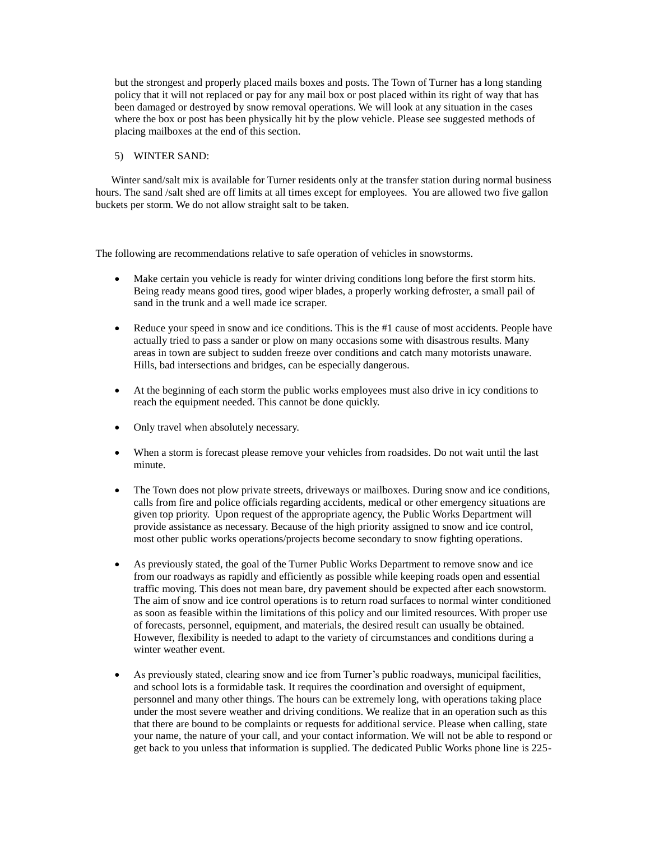but the strongest and properly placed mails boxes and posts. The Town of Turner has a long standing policy that it will not replaced or pay for any mail box or post placed within its right of way that has been damaged or destroyed by snow removal operations. We will look at any situation in the cases where the box or post has been physically hit by the plow vehicle. Please see suggested methods of placing mailboxes at the end of this section.

### 5) WINTER SAND:

 Winter sand/salt mix is available for Turner residents only at the transfer station during normal business hours. The sand /salt shed are off limits at all times except for employees. You are allowed two five gallon buckets per storm. We do not allow straight salt to be taken.

The following are recommendations relative to safe operation of vehicles in snowstorms.

- Make certain you vehicle is ready for winter driving conditions long before the first storm hits. Being ready means good tires, good wiper blades, a properly working defroster, a small pail of sand in the trunk and a well made ice scraper.
- Reduce your speed in snow and ice conditions. This is the #1 cause of most accidents. People have actually tried to pass a sander or plow on many occasions some with disastrous results. Many areas in town are subject to sudden freeze over conditions and catch many motorists unaware. Hills, bad intersections and bridges, can be especially dangerous.
- At the beginning of each storm the public works employees must also drive in icy conditions to reach the equipment needed. This cannot be done quickly.
- Only travel when absolutely necessary.
- When a storm is forecast please remove your vehicles from roadsides. Do not wait until the last minute.
- The Town does not plow private streets, driveways or mailboxes. During snow and ice conditions, calls from fire and police officials regarding accidents, medical or other emergency situations are given top priority. Upon request of the appropriate agency, the Public Works Department will provide assistance as necessary. Because of the high priority assigned to snow and ice control, most other public works operations/projects become secondary to snow fighting operations.
- As previously stated, the goal of the Turner Public Works Department to remove snow and ice from our roadways as rapidly and efficiently as possible while keeping roads open and essential traffic moving. This does not mean bare, dry pavement should be expected after each snowstorm. The aim of snow and ice control operations is to return road surfaces to normal winter conditioned as soon as feasible within the limitations of this policy and our limited resources. With proper use of forecasts, personnel, equipment, and materials, the desired result can usually be obtained. However, flexibility is needed to adapt to the variety of circumstances and conditions during a winter weather event.
- As previously stated, clearing snow and ice from Turner's public roadways, municipal facilities, and school lots is a formidable task. It requires the coordination and oversight of equipment, personnel and many other things. The hours can be extremely long, with operations taking place under the most severe weather and driving conditions. We realize that in an operation such as this that there are bound to be complaints or requests for additional service. Please when calling, state your name, the nature of your call, and your contact information. We will not be able to respond or get back to you unless that information is supplied. The dedicated Public Works phone line is 225-